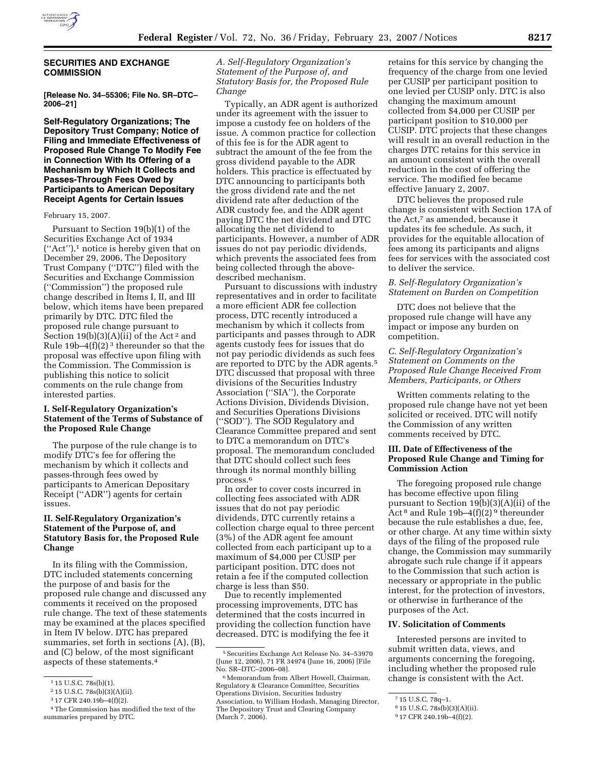

### **SECURITIES AND EXCHANGE COMMISSION**

**[Release No. 34–55306; File No. SR–DTC– 2006–21]** 

**Self-Regulatory Organizations; The Depository Trust Company; Notice of Filing and Immediate Effectiveness of Proposed Rule Change To Modify Fee in Connection With Its Offering of a Mechanism by Which It Collects and Passes-Through Fees Owed by Participants to American Depositary Receipt Agents for Certain Issues** 

#### February 15, 2007.

Pursuant to Section 19(b)(1) of the Securities Exchange Act of 1934  $("Act")$ , notice is hereby given that on December 29, 2006, The Depository Trust Company (''DTC'') filed with the Securities and Exchange Commission (''Commission'') the proposed rule change described in Items I, II, and III below, which items have been prepared primarily by DTC. DTC filed the proposed rule change pursuant to Section  $19(b)(3)(A)(ii)$  of the Act<sup>2</sup> and Rule 19b–4 $(f)(2)^3$  thereunder so that the proposal was effective upon filing with the Commission. The Commission is publishing this notice to solicit comments on the rule change from interested parties.

### **I. Self-Regulatory Organization's Statement of the Terms of Substance of the Proposed Rule Change**

The purpose of the rule change is to modify DTC's fee for offering the mechanism by which it collects and passes-through fees owed by participants to American Depositary Receipt (''ADR'') agents for certain issues.

## **II. Self-Regulatory Organization's Statement of the Purpose of, and Statutory Basis for, the Proposed Rule Change**

In its filing with the Commission, DTC included statements concerning the purpose of and basis for the proposed rule change and discussed any comments it received on the proposed rule change. The text of these statements may be examined at the places specified in Item IV below. DTC has prepared summaries, set forth in sections (A), (B), and (C) below, of the most significant aspects of these statements.4

# *A. Self-Regulatory Organization's Statement of the Purpose of, and Statutory Basis for, the Proposed Rule Change*

Typically, an ADR agent is authorized under its agreement with the issuer to impose a custody fee on holders of the issue. A common practice for collection of this fee is for the ADR agent to subtract the amount of the fee from the gross dividend payable to the ADR holders. This practice is effectuated by DTC announcing to participants both the gross dividend rate and the net dividend rate after deduction of the ADR custody fee, and the ADR agent paying DTC the net dividend and DTC allocating the net dividend to participants. However, a number of ADR issues do not pay periodic dividends, which prevents the associated fees from being collected through the abovedescribed mechanism.

Pursuant to discussions with industry representatives and in order to facilitate a more efficient ADR fee collection process, DTC recently introduced a mechanism by which it collects from participants and passes through to ADR agents custody fees for issues that do not pay periodic dividends as such fees are reported to DTC by the ADR agents.5 DTC discussed that proposal with three divisions of the Securities Industry Association (''SIA''), the Corporate Actions Division, Dividends Division, and Securities Operations Divisions (''SOD''). The SOD Regulatory and Clearance Committee prepared and sent to DTC a memorandum on DTC's proposal. The memorandum concluded that DTC should collect such fees through its normal monthly billing process.6

In order to cover costs incurred in collecting fees associated with ADR issues that do not pay periodic dividends, DTC currently retains a collection charge equal to three percent (3%) of the ADR agent fee amount collected from each participant up to a maximum of \$4,000 per CUSIP per participant position. DTC does not retain a fee if the computed collection charge is less than \$50.

Due to recently implemented processing improvements, DTC has determined that the costs incurred in providing the collection function have decreased. DTC is modifying the fee it

retains for this service by changing the frequency of the charge from one levied per CUSIP per participant position to one levied per CUSIP only. DTC is also changing the maximum amount collected from \$4,000 per CUSIP per participant position to \$10,000 per CUSIP. DTC projects that these changes will result in an overall reduction in the charges DTC retains for this service in an amount consistent with the overall reduction in the cost of offering the service. The modified fee became effective January 2, 2007.

DTC believes the proposed rule change is consistent with Section 17A of the Act,7 as amended, because it updates its fee schedule. As such, it provides for the equitable allocation of fees among its participants and aligns fees for services with the associated cost to deliver the service.

### *B. Self-Regulatory Organization's Statement on Burden on Competition*

DTC does not believe that the proposed rule change will have any impact or impose any burden on competition.

## *C. Self-Regulatory Organization's Statement on Comments on the Proposed Rule Change Received From Members, Participants, or Others*

Written comments relating to the proposed rule change have not yet been solicited or received. DTC will notify the Commission of any written comments received by DTC.

## **III. Date of Effectiveness of the Proposed Rule Change and Timing for Commission Action**

The foregoing proposed rule change has become effective upon filing pursuant to Section 19(b)(3)(A)(ii) of the Act<sup>8</sup> and Rule 19b-4(f)(2)<sup>9</sup> thereunder because the rule establishes a due, fee, or other charge. At any time within sixty days of the filing of the proposed rule change, the Commission may summarily abrogate such rule change if it appears to the Commission that such action is necessary or appropriate in the public interest, for the protection of investors, or otherwise in furtherance of the purposes of the Act.

### **IV. Solicitation of Comments**

Interested persons are invited to submit written data, views, and arguments concerning the foregoing, including whether the proposed rule change is consistent with the Act.

<sup>1</sup> 15 U.S.C. 78s(b)(1).

<sup>2</sup> 15 U.S.C. 78s(b)(3)(A)(ii).

<sup>3</sup> 17 CFR 240.19b–4(f)(2).

<sup>4</sup>The Commission has modified the text of the summaries prepared by DTC.

<sup>5</sup>Securities Exchange Act Release No. 34–53970 (June 12, 2006), 71 FR 34974 (June 16, 2006) [File No. SR–DTC–2006–08].

<sup>6</sup>Memorandum from Albert Howell, Chairman, Regulatory & Clearance Committee, Securities Operations Division, Securities Industry Association, to William Hodash, Managing Director, The Depository Trust and Clearing Company (March 7, 2006).

<sup>7</sup> 15 U.S.C. 78q–1.

<sup>8</sup> 15 U.S.C. 78s(b)(3)(A)(ii).

<sup>9</sup> 17 CFR 240.19b–4(f)(2).